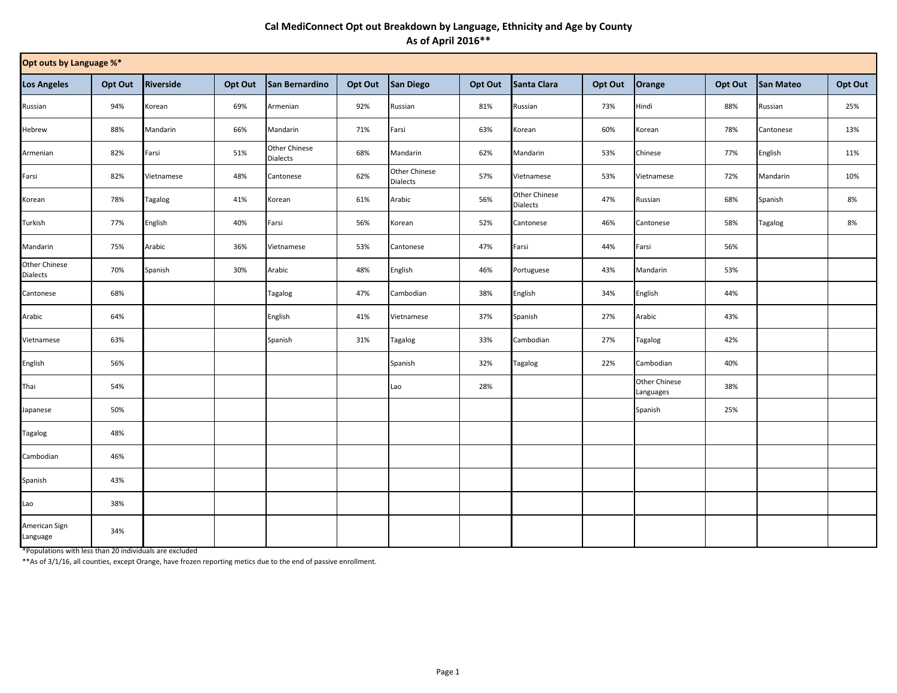## **Cal MediConnect Opt out Breakdown by Language, Ethnicity and Age by County As of April 2016\*\***

| Opt outs by Language %*   |         |            |         |                                  |         |                           |         |                                  |         |                                   |         |                |         |
|---------------------------|---------|------------|---------|----------------------------------|---------|---------------------------|---------|----------------------------------|---------|-----------------------------------|---------|----------------|---------|
| <b>Los Angeles</b>        | Opt Out | Riverside  | Opt Out | San Bernardino                   | Opt Out | <b>San Diego</b>          | Opt Out | Santa Clara                      | Opt Out | Orange                            | Opt Out | San Mateo      | Opt Out |
| Russian                   | 94%     | Korean     | 69%     | Armenian                         | 92%     | Russian                   | 81%     | Russian                          | 73%     | Hindi                             | 88%     | Russian        | 25%     |
| Hebrew                    | 88%     | Mandarin   | 66%     | Mandarin                         | 71%     | Farsi                     | 63%     | Korean                           | 60%     | Korean                            | 78%     | Cantonese      | 13%     |
| Armenian                  | 82%     | Farsi      | 51%     | Other Chinese<br><b>Dialects</b> | 68%     | Mandarin                  | 62%     | Mandarin                         | 53%     | Chinese                           | 77%     | English        | 11%     |
| Farsi                     | 82%     | Vietnamese | 48%     | Cantonese                        | 62%     | Other Chinese<br>Dialects | 57%     | Vietnamese                       | 53%     | Vietnamese                        | 72%     | Mandarin       | 10%     |
| Korean                    | 78%     | Tagalog    | 41%     | Korean                           | 61%     | Arabic                    | 56%     | Other Chinese<br><b>Dialects</b> | 47%     | Russian                           | 68%     | Spanish        | 8%      |
| Turkish                   | 77%     | English    | 40%     | Farsi                            | 56%     | Korean                    | 52%     | Cantonese                        | 46%     | Cantonese                         | 58%     | <b>Tagalog</b> | 8%      |
| Mandarin                  | 75%     | Arabic     | 36%     | Vietnamese                       | 53%     | Cantonese                 | 47%     | Farsi                            | 44%     | Farsi                             | 56%     |                |         |
| Other Chinese<br>Dialects | 70%     | Spanish    | 30%     | Arabic                           | 48%     | English                   | 46%     | Portuguese                       | 43%     | Mandarin                          | 53%     |                |         |
| Cantonese                 | 68%     |            |         | Tagalog                          | 47%     | Cambodian                 | 38%     | English                          | 34%     | English                           | 44%     |                |         |
| Arabic                    | 64%     |            |         | English                          | 41%     | Vietnamese                | 37%     | Spanish                          | 27%     | Arabic                            | 43%     |                |         |
| Vietnamese                | 63%     |            |         | Spanish                          | 31%     | Tagalog                   | 33%     | Cambodian                        | 27%     | <b>Tagalog</b>                    | 42%     |                |         |
| English                   | 56%     |            |         |                                  |         | Spanish                   | 32%     | Tagalog                          | 22%     | Cambodian                         | 40%     |                |         |
| Thai                      | 54%     |            |         |                                  |         | Lao                       | 28%     |                                  |         | <b>Other Chinese</b><br>Languages | 38%     |                |         |
| Japanese                  | 50%     |            |         |                                  |         |                           |         |                                  |         | Spanish                           | 25%     |                |         |
| <b>Tagalog</b>            | 48%     |            |         |                                  |         |                           |         |                                  |         |                                   |         |                |         |
| Cambodian                 | 46%     |            |         |                                  |         |                           |         |                                  |         |                                   |         |                |         |
| Spanish                   | 43%     |            |         |                                  |         |                           |         |                                  |         |                                   |         |                |         |
| Lao                       | 38%     |            |         |                                  |         |                           |         |                                  |         |                                   |         |                |         |
| American Sign<br>Language | 34%     |            |         |                                  |         |                           |         |                                  |         |                                   |         |                |         |

\*Populations with less than 20 individuals are excluded

\*\*As of 3/1/16, all counties, except Orange, have frozen reporting metics due to the end of passive enrollment.